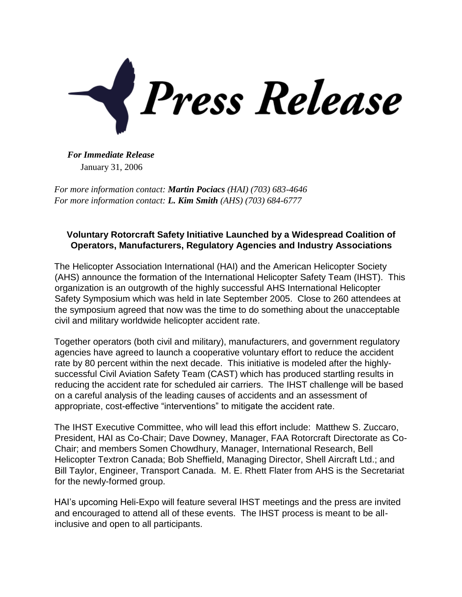

*For Immediate Release* January 31, 2006

*For more information contact: Martin Pociacs (HAI) (703) 683-4646 For more information contact: L. Kim Smith (AHS) (703) 684-6777*

## **Voluntary Rotorcraft Safety Initiative Launched by a Widespread Coalition of Operators, Manufacturers, Regulatory Agencies and Industry Associations**

The Helicopter Association International (HAI) and the American Helicopter Society (AHS) announce the formation of the International Helicopter Safety Team (IHST). This organization is an outgrowth of the highly successful AHS International Helicopter Safety Symposium which was held in late September 2005. Close to 260 attendees at the symposium agreed that now was the time to do something about the unacceptable civil and military worldwide helicopter accident rate.

Together operators (both civil and military), manufacturers, and government regulatory agencies have agreed to launch a cooperative voluntary effort to reduce the accident rate by 80 percent within the next decade. This initiative is modeled after the highlysuccessful Civil Aviation Safety Team (CAST) which has produced startling results in reducing the accident rate for scheduled air carriers. The IHST challenge will be based on a careful analysis of the leading causes of accidents and an assessment of appropriate, cost-effective "interventions" to mitigate the accident rate.

The IHST Executive Committee, who will lead this effort include: Matthew S. Zuccaro, President, HAI as Co-Chair; Dave Downey, Manager, FAA Rotorcraft Directorate as Co-Chair; and members Somen Chowdhury, Manager, International Research, Bell Helicopter Textron Canada; Bob Sheffield, Managing Director, Shell Aircraft Ltd.; and Bill Taylor, Engineer, Transport Canada. M. E. Rhett Flater from AHS is the Secretariat for the newly-formed group.

HAI's upcoming Heli-Expo will feature several IHST meetings and the press are invited and encouraged to attend all of these events. The IHST process is meant to be allinclusive and open to all participants.